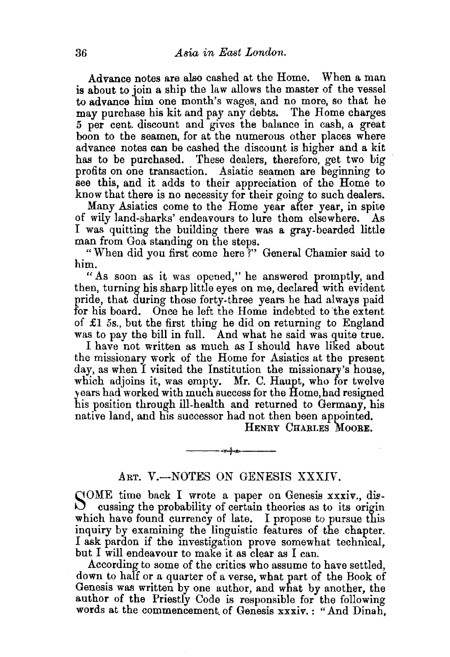Advance notes are also cashed at the Home. When a man is about to join a ship the law allows the master of the vessel to advance him one month's wages, and no more, so that he may purchase his kit and pay any debts. The Home charges 5 per cent. discount and gives the balance in cash, a great boon to the seamen, for at the numerous other places where advance notes can be cashed the discount is higher and a kit has to be purchased. These dealers, therefore, get two big profits on one transaction. Asiatic seamen are beginning to see this, and it adds to their appreciation of the Home to know that there is no necessity for their going to such dealers.

Many Asiatics come to the Home year after year, in spite of wily land-sharks' endeavours to lure them elsewhere. As I was quitting the building there was a gray-bearded little man from Goa standing on the steps.

"When did you first come here ?" General Chamier said to him.

"As soon as it was opened," he answered promptly, and then, turning his sharp little eyes on me, declared with evident pride, that during those forty-three years he had always paid for his board. Once he left the Home indebted to the extent of £1 *5s.,* but the first thing he did on returning to England was to pay the bill in full. And what he said was quite true.

I have not written as much as I should have liked about the missionary work of the Home for Asiatics at the present day, as when I visited the Institution the missionary's house, which adjoins it, was empty. Mr. C. Haupt, who for twelve )ears had worked with much success for the Home, had resigned his position through ill-health and returned to Germany, his native land, and his successor had not then been appointed.

HENRY CHARLES MooRE.

## ART. V.-NOTES ON GENESIS XXXIV.

---~----

SOME time back I wrote a paper on Genesis xxxiv., dis-<br>cussing the probability of certain theories as to its origin which have found currency of late. I propose to pursue this inquiry by examining the linguistic features of the chapter. I ask pardon if the investigation prove somewhat technical, but I will endeavour to make it as clear as I can.

According to some of the critics who assume to have settled, down to half or a quarter of a verse, what part of the Book of Genesis was written by one author, and what by another, the author of the Priestly Code is responsible for the following words at the commencement. of Genesis xxxiv. : "And Dinah,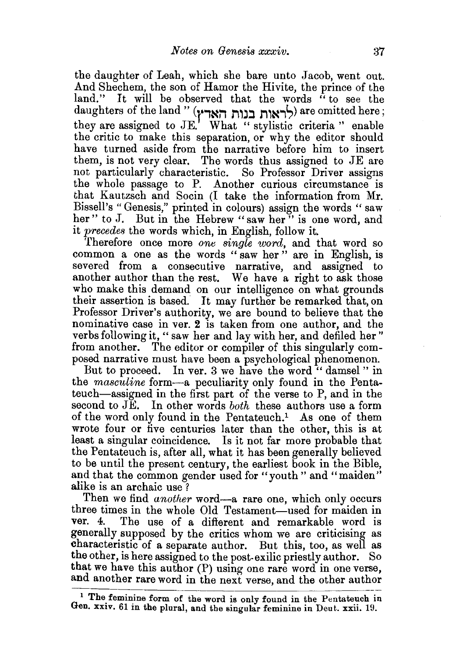the daughter of Leah, which she bare unto Jacob, went out. And Shechem, the son of Hamor the Hivite, the prince of the land." It will be observed that the words "to see the daughters of the land " (לראות בנות הארץ) are omitted here; they are assigned to JE.' What " stylistic criteria " enable the critic to make this separation, or why the editor should have turned aside from the narrative before him to insert them, is not very clear. The words thus assigned to JE are not particularly characteristic. So Professor Driver assigns the whole passage to P. Another curious circumstance is that Kautzsch and Socin (I take the information from Mr. Bissell's "Genesis," printed in colours) assign the words "saw her" to J. But in the Hebrew "saw her" is one word, and it *precedes* the words which, in English, follow it.

Therefore once more *one single word,* and that word so common a one as the words " saw her " are in English, is severed from a consecutive narrative, and assigned to another author than the rest. We have a right to ask those who make this demand on our intelligence on what grounds their assertion is based. It may further be remarked that, on Professor Driver's authority, we are bound to believe that the nominative case in ver. 2 is taken from one author, and the verbs following it, "saw her and lay with her, and defiled her" from another. The editor or compiler of this singularly composed narrative must have been a psychological phenomenon.

But to proceed. In ver. 3 we have the word "damsel" in the *masculine* form-a peculiarity only found in the Pentateuch-assigned in the first part of the verse to P, and in the second to JE. In other words *both* these authors use a form of the word only found in the Pentateuch.<sup>1</sup> As one of them wrote four or five centuries later than the other, this is at least a singular coincidence. Is it not far more probable that the Pentateuch is, after all, what it has been generally believed to be until the present century, the earliest book in the Bible, and that the common gender used for "youth" and "maiden" alike is an archaic use ?

Then we find *another* word—a rare one, which only occurs three times in the whole Old Testament—used for maiden in<br>ver. 4. The use of a different and remarkable word is The use of a different and remarkable word is generally supposed by the critics whom we are criticising as characteristic of a separate author. But this, too, as well as the other, is here assigned to the post-exilic priestly author. So that we have this author (P) using one rare word in one verse, and another rare word in the next verse, and the other author

<sup>&</sup>lt;sup>1</sup> The feminine form of the word is only found in the Pentateuch in Gen. xx1v. 61 in the plural, and the singular feminine in Deut. xxii. 19.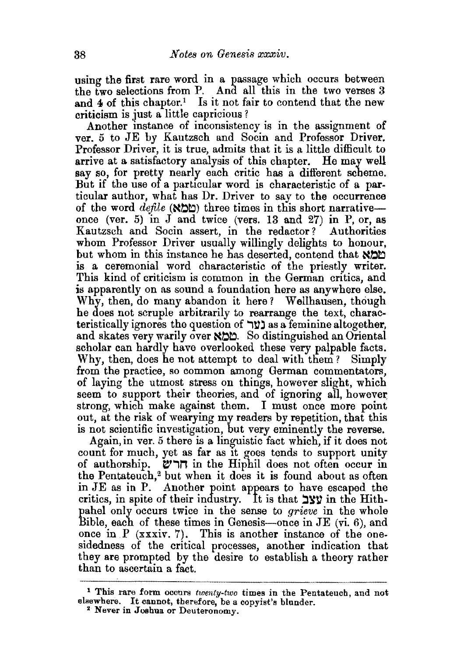using the first rare word in a passage which occurs between the two selections from P. And all this in the two verses  $3$ and 4 of this chapter.<sup>1</sup> Is it not fair to contend that the new criticism is just a little capricious?

Another instance of inconsistency is in the assignment of ver. 5 to JE by Kautzsch and Socin and Professor Driver. Professor Driver, it is true, admits that it is a little difficult to arrive at a satisfactory analysis of this chapter. He may well say so, for pretty nearly each critic has a different scheme. But if the use of a particular word is characteristic of a particular author, what has Dr. Driver to say to the occurrence of the word *defile*  $(N\Delta t)$  three times in this short narrativeonce (ver. 5) in J and twice (vers. 13 and 27) in P, or, as Kautzsch and Socin assert, in the redactor? Authorities whom Professor Driver usually willingly delights to honour, but whom in this instance he has deserted, contend that  $\aleph$ is a ceremonial word characteristic of the priestly writer. This kind of criticism is common in the German critics, and is apparently on as sound a foundation here as anywhere else. Why, then, do many abandon it here? Wellhausen, though he does not scruple arbitrarily to rearrange the text, characteristically ignores the question of **ער** as a feminine altogether, and skates very warily over  $\aleph \geq 0$ . So distinguished an Oriental scholar can hardly have overlooked these very palpable facts. Why, then, does he not attempt to deal with them? Simply from the practice, so common among German commentators, of laying the utmost stress on things, however slight, which seem to support their theories, and of ignoring all, however strong, which make against them. I must once more point out, at the risk of wearying my readers by repetition, that this is not scientific investigation, but very eminently the reverse.

Again, in ver. 5 there is a linguistic fact which, if it does not count for much, yet as far as it goes tends to support unity of authorship.  $\Box$ הרש in the Hiphil does not often occur in the Pentateuch,<sup>2</sup> but when it does it is found about as often in JE as in P. Another point appears to have escaped the critics, in spite of their industry. It is that yy in the Hithpahel only occurs twice in the sense to *grieve* in the whole Bible, each of these times in Genesis-once in JE (vi. 6), and once in  $P$  (xxxiv. 7). This is another instance of the onesidedness of the critical processes, another indication that they are prompted by the desire to establish a theory rather than to ascertain a fact.

<sup>1</sup> This rare form occurs *twenty-two* times in the Pentateuch, and not elsewhere. It cannot, therefore, be a copyist's blunder. 2 Never in Joshua. or Deuteronomy.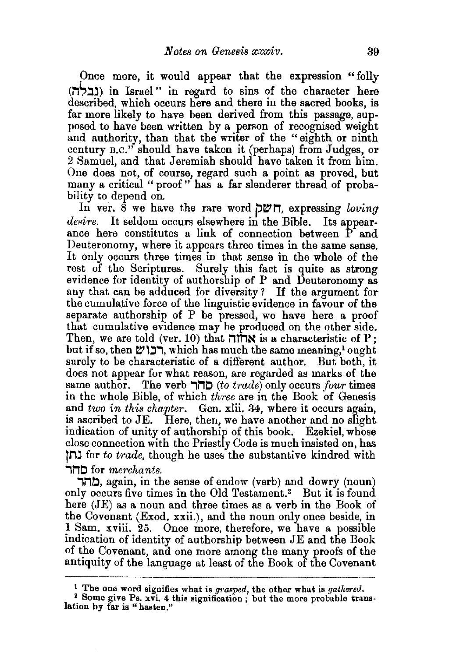Once more, it would appear that the expression "folly (נבלה) in Israel" in regard to sins of the character here described, which occurs here and there in the sacred books, is far more likely to have been derived from this passage, supposed to have been written by a person of recognised weight and authority, than that the writer of the "eighth or ninth century B.C." should have taken it (perhaps) from Judges, or 2 Samuel, and that Jeremiah should have taken it from him. One does not, of course, regard such a point as proved, but many a critical " proof" has a far slenderer thread of probability to depend on.

In ver. 8 we have the rare word **petn,** expressing *loving desire.* It seldom occurs elsewhere in the Bible. Its appearance here constitutes a link of connection between P and Deuteronomy, where it appears three times in the same sense. It only occurs three times in that sense in the whole of the rest of the Scriptures. Surely this fact is quite as strong evidence for identity of authorship of P and Deuteronomy as any that can be adduced for diversity ? If the argument for the cumulative force of the linguistic evidence in favour of the separate authorship of P be pressed, we have here a proof that cumulative evidence may be produced on the other side. Then, we are told (ver. 10) that  $\overline{n}$  $\overline{n}$  is a characteristic of P; but if so, then  $\mathcal{V}'$ רבו ש, which has much the same meaning,<sup>1</sup> ought surely to be characteristic of a different author. But both, it does not appear for what reason, are regarded as marks of the same author. The verb **.,no** *(to t1·ade)* only occurs *four* ttmes in the whole Bible, of which *three* are iu the Book of Genesis and *two in this chapter.* Gen. xlii. 34, where it occurs again, is ascribed to JE. Here, then, we have another and no slight indication of unity of authorship of this book. Ezekiel, whose close connection with the Priestly Code is much insisted on, has jli~ for *to trade,* though he uses the substantive kindred with **.,no** for *merchants .* 

**.,l""'.b,** again, in the sense of endow (verb) and dowry (noun) only occurs five times in the Old Testament.<sup>2</sup> But it is found here (JE) as a noun and three times as a verb in the Book of the Covenant (Exod. xxii.), and the noun only once beside, in 1 Sam. xviii. 25. Once more, therefore, we have a possible indication of identity of authorship between JE and the Book of the Covenant, and one more among the many proofs of the antiquity of the language at least of the Book of the Covenant

<sup>&</sup>lt;sup>1</sup> The one word signifies what is grasped, the other what is gathered. <sup>2</sup> Some give Ps. xvi. 4 this signification ; but the more probable translation by far is "hasten."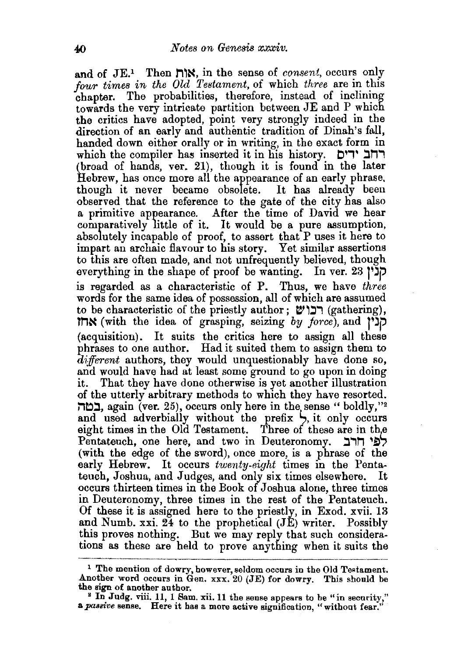and of JE.1 Then M~N, in the sense of *consent,* occurs only *jour times in the* Old *Testament,* of which *three* are in this chapter. The probabilities, therefore, instead of inclining towards the very intricate partition between JE and P which the critics have adopted, point very strongly indeed in the direction of an early and authentic tradition of Dinah's fall, handed down either orally or in writing, in the exact form in which the compiler has inserted it in his history. **ויים** ידים (broad of hands, ver. 21), though it is found in the later Hebrew, has once more all the appearance of an early phrase, though it never became obsolete. It has already been observed that the reference to the gate of the city has also a primitive appearance. After the time of David we hear comparatively little of it. It would be a pure assumption, absolutely incapable of proof, to assert that P uses it here to impart an archaic flavour to his story. Yet similar assertions to this are often made, and not unfrequently believed, though everything in the shape of proof be wanting. In ver. 23 **j'JP**  is regarded as a characteristic of P. Thus, we have *three*  words for the same idea of possession, all of which are assumed to be characteristic of the priestly author;  $v$ רבו (gathering), **tMN** (with the idea of grasping, seizing *by jm·ce),* and **j'JP**  (acquisition). It suits the critics here to assign all these phrases to one author. Had it suited them to assign them to *different* authors, they would unquestionably have done so, and would have had at least some ground to go upon in doing<br>it. That they have done otherwise is yet another illustration That they have done otherwise is yet another illustration of the utterly arbitrary methods to which they have resorted. במה. again (ver. 25), occurs only here in the sense "boldly,"<sup>2</sup> and used adverbially without the prefix  $\vdash$ , it only occurs eight times in the Old Testament. Three of these are in the Pentateuch, one here, and two in Deuteronomy.  $\exists$ רב אחר (with the edge of the sword), once more, is a phrase of the early Hebrew. It occurs *twenty-eight* times in the Pentateuch, Joshua, and Judges, and only six times elsewhere. occurs thirteen times in the Book of Joshua alone, three times in Deuteronomy, three times in the rest of the Pentateuch. Of these it is assigned here to the priestly, in Exod. xvii. 13 and Numb. xxi. 24 to the prophetical (JE) writer. Possibly this proves nothing. But we may reply that such considerations as these are held to prove anything when it suits the

<sup>&</sup>lt;sup>1</sup> The mention of dowry, however, seldom occurs in the Old Testament. Another word occurs in Gen.  $xxx. 20$  (JE) for dowry. This should be the sign of another author.

<sup>&</sup>lt;sup>2</sup> In Judg. viii. 11, 1 Sam. xii. 11 the sense appears to be "in security," a *passive* sense. Here it has a more active signification, "without fear."